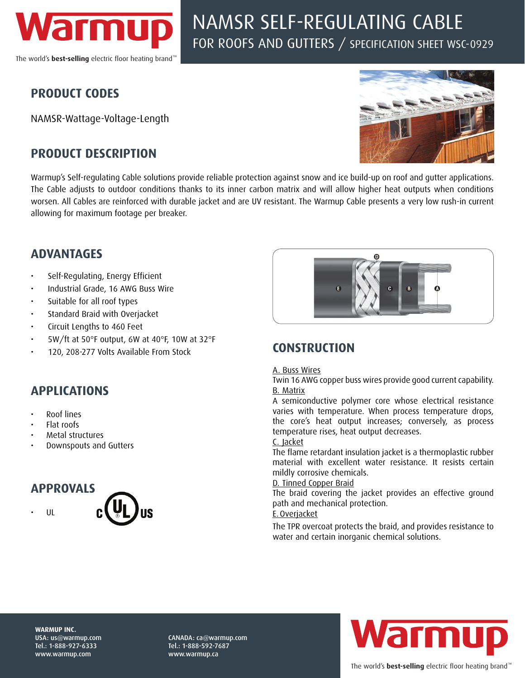

# NAMSR SELF-REGULATING CABLE FOR ROOFS AND GUTTERS / SPECIFICATION SHEET WSC-0929

# **PRODUCT CODES**

NAMSR-Wattage-Voltage-Length

# **PRODUCT DESCRIPTION**



Warmup's Self-regulating Cable solutions provide reliable protection against snow and ice build-up on roof and gutter applications. The Cable adjusts to outdoor conditions thanks to its inner carbon matrix and will allow higher heat outputs when conditions worsen. All Cables are reinforced with durable jacket and are UV resistant. The Warmup Cable presents a very low rush-in current allowing for maximum footage per breaker.

### **ADVANTAGES**

- Self-Regulating, Energy Efficient
- Industrial Grade, 16 AWG Buss Wire
- Suitable for all roof types
- Standard Braid with Overjacket
- Circuit Lengths to 460 Feet
- 5W/ft at 50°F output, 6W at 40°F, 10W at 32°F
- 120, 208-277 Volts Available From Stock

# **APPLICATIONS**

- Roof lines
- Flat roofs
- Metal structures
- Downspouts and Gutters

### **APPROVALS**

• UL





# **CONSTRUCTION**

#### A. Buss Wires

Twin 16 AWG copper buss wires provide good current capability. B. Matrix

A semiconductive polymer core whose electrical resistance varies with temperature. When process temperature drops, the core's heat output increases; conversely, as process temperature rises, heat output decreases.

#### C. Jacket

The flame retardant insulation jacket is a thermoplastic rubber material with excellent water resistance. It resists certain mildly corrosive chemicals.

#### D. Tinned Copper Braid

The braid covering the jacket provides an effective ground path and mechanical protection.

#### E.Overjacket

The TPR overcoat protects the braid, and provides resistance to water and certain inorganic chemical solutions.

**WARMUP INC.**  USA: us@warmup.com Tel.: 1-888-927-6333 www.warmup.com

CANADA: ca@warmup.com Tel.: 1-888-592-7687 www.warmup.ca

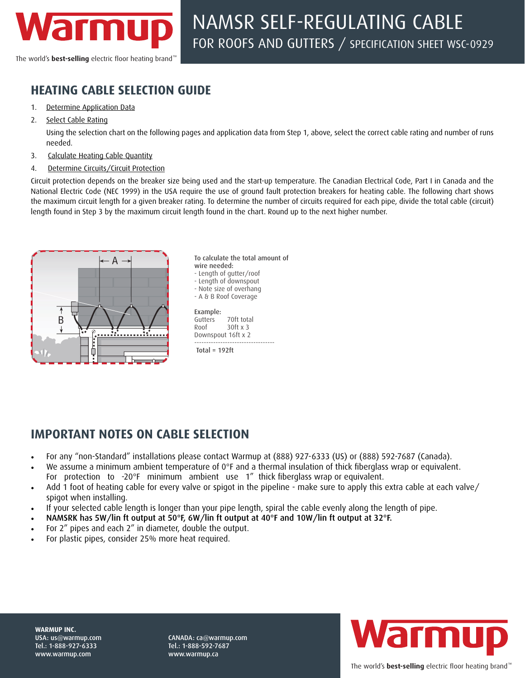

The world's **best-selling** electric floor heating brand

# **HEATING CABLE SELECTION GUIDE**

- 1. Determine Application Data
- 2. Select Cable Rating

Using the selection chart on the following pages and application data from Step 1, above, select the correct cable rating and number of runs needed.

- 3. Calculate Heating Cable Quantity
- 4. Determine Circuits/Circuit Protection

Circuit protection depends on the breaker size being used and the start-up temperature. The Canadian Electrical Code, Part I in Canada and the National Electric Code (NEC 1999) in the USA require the use of ground fault protection breakers for heating cable. The following chart shows the maximum circuit length for a given breaker rating. To determine the number of circuits required for each pipe, divide the total cable (circuit) length found in Step 3 by the maximum circuit length found in the chart. Round up to the next higher number.



To calculate the total amount of wire needed: - Length of gutter/roof - Length of downspout - Note size of overhang - A & B Roof Coverage Example: Gutters 70ft total Roof 30ft x 3 Downspout 16ft x 2 ----------------------------------  $Total = 192$ ft

# **IMPORTANT NOTES ON CABLE SELECTION**

- For any "non-Standard" installations please contact Warmup at (888) 927-6333 (US) or (888) 592-7687 (Canada).
- We assume a minimum ambient temperature of  $0^{\circ}F$  and a thermal insulation of thick fiberglass wrap or equivalent.
- For protection to -20°F minimum ambient use 1" thick fiberglass wrap or equivalent.
- Add 1 foot of heating cable for every valve or spigot in the pipeline make sure to apply this extra cable at each valve/ spigot when installing.
- If your selected cable length is longer than your pipe length, spiral the cable evenly along the length of pipe.
- NAMSRK has 5W/lin ft output at 50°F, 6W/lin ft output at 40°F and 10W/lin ft output at 32°F.
- For 2" pipes and each 2" in diameter, double the output.
- For plastic pipes, consider 25% more heat required.



CANADA: ca@warmup.com Tel.: 1-888-592-7687 www.warmup.ca

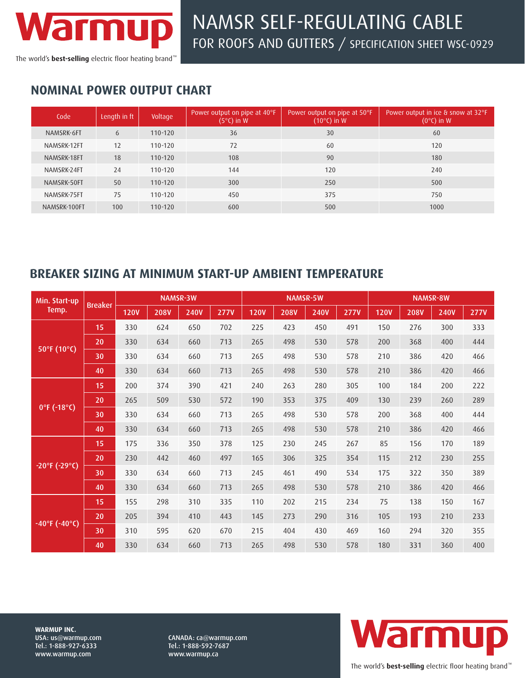

# NAMSR SELF-REGULATING CABLE FOR ROOFS AND GUTTERS / SPECIFICATION SHEET WSC-0929

The world's **best-selling** electric floor heating brand<sup>™</sup>

# **NOMINAL POWER OUTPUT CHART**

| Code         | Length in ft | Voltage     | Power output on pipe at 40°F<br>$(5^{\circ}C)$ in W | Power output on pipe at 50°F.<br>$(10^{\circ}C)$ in W | Power output in ice & snow at 32°F<br>$(0^{\circ}C)$ in W |
|--------------|--------------|-------------|-----------------------------------------------------|-------------------------------------------------------|-----------------------------------------------------------|
| NAMSRK-6FT   | 6            | $110 - 120$ | 36                                                  | 30                                                    | 60                                                        |
| NAMSRK-12FT  | 12           | $110 - 120$ | 72                                                  | 60                                                    | 120                                                       |
| NAMSRK-18FT  | 18           | $110 - 120$ | 108                                                 | 90                                                    | 180                                                       |
| NAMSRK-24FT  | 24           | $110 - 120$ | 144                                                 | 120                                                   | 240                                                       |
| NAMSRK-50FT  | 50           | $110 - 120$ | 300                                                 | 250                                                   | 500                                                       |
| NAMSRK-75FT  | 75           | $110 - 120$ | 450                                                 | 375                                                   | 750                                                       |
| NAMSRK-100FT | 100          | $110 - 120$ | 600                                                 | 500                                                   | 1000                                                      |

### **BREAKER SIZING AT MINIMUM START-UP AMBIENT TEMPERATURE**

| Min. Start-up<br>Temp.  | <b>Breaker</b> | <b>NAMSR-3W</b> |             |             | NAMSR-5W    |             |             | <b>NAMSR-8W</b> |             |             |             |             |             |
|-------------------------|----------------|-----------------|-------------|-------------|-------------|-------------|-------------|-----------------|-------------|-------------|-------------|-------------|-------------|
|                         |                | <b>120V</b>     | <b>208V</b> | <b>240V</b> | <b>277V</b> | <b>120V</b> | <b>208V</b> | <b>240V</b>     | <b>277V</b> | <b>120V</b> | <b>208V</b> | <b>240V</b> | <b>277V</b> |
| 50°F (10°C)             | 15             | 330             | 624         | 650         | 702         | 225         | 423         | 450             | 491         | 150         | 276         | 300         | 333         |
|                         | 20             | 330             | 634         | 660         | 713         | 265         | 498         | 530             | 578         | 200         | 368         | 400         | 444         |
|                         | 30             | 330             | 634         | 660         | 713         | 265         | 498         | 530             | 578         | 210         | 386         | 420         | 466         |
|                         | 40             | 330             | 634         | 660         | 713         | 265         | 498         | 530             | 578         | 210         | 386         | 420         | 466         |
| 0°F (-18°C)             | 15             | 200             | 374         | 390         | 421         | 240         | 263         | 280             | 305         | 100         | 184         | 200         | 222         |
|                         | 20             | 265             | 509         | 530         | 572         | 190         | 353         | 375             | 409         | 130         | 239         | 260         | 289         |
|                         | 30             | 330             | 634         | 660         | 713         | 265         | 498         | 530             | 578         | 200         | 368         | 400         | 444         |
|                         | 40             | 330             | 634         | 660         | 713         | 265         | 498         | 530             | 578         | 210         | 386         | 420         | 466         |
| $-20$ °F (-29°C)        | 15             | 175             | 336         | 350         | 378         | 125         | 230         | 245             | 267         | 85          | 156         | 170         | 189         |
|                         | 20             | 230             | 442         | 460         | 497         | 165         | 306         | 325             | 354         | 115         | 212         | 230         | 255         |
|                         | 30             | 330             | 634         | 660         | 713         | 245         | 461         | 490             | 534         | 175         | 322         | 350         | 389         |
|                         | 40             | 330             | 634         | 660         | 713         | 265         | 498         | 530             | 578         | 210         | 386         | 420         | 466         |
| $-40^{\circ}$ F (-40°C) | 15             | 155             | 298         | 310         | 335         | 110         | 202         | 215             | 234         | 75          | 138         | 150         | 167         |
|                         | 20             | 205             | 394         | 410         | 443         | 145         | 273         | 290             | 316         | 105         | 193         | 210         | 233         |
|                         | 30             | 310             | 595         | 620         | 670         | 215         | 404         | 430             | 469         | 160         | 294         | 320         | 355         |
|                         | 40             | 330             | 634         | 660         | 713         | 265         | 498         | 530             | 578         | 180         | 331         | 360         | 400         |

**WARMUP INC.**  USA: us@warmup.com Tel.: 1-888-927-6333 www.warmup.com

CANADA: ca@warmup.com Tel.: 1-888-592-7687 www.warmup.ca

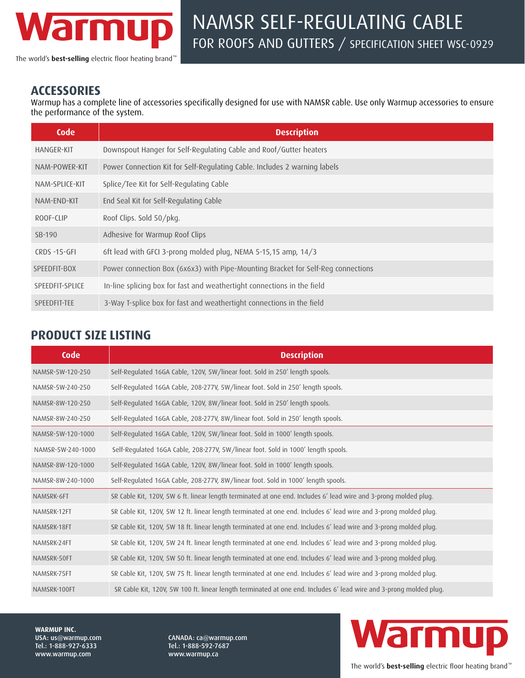

The world's **best-selling** electric floor heating brand™

#### **ACCESSORIES**

Warmup has a complete line of accessories specifically designed for use with NAMSR cable. Use only Warmup accessories to ensure the performance of the system.

| Code              | <b>Description</b>                                                               |  |  |  |
|-------------------|----------------------------------------------------------------------------------|--|--|--|
| <b>HANGER-KIT</b> | Downspout Hanger for Self-Regulating Cable and Roof/Gutter heaters               |  |  |  |
| NAM-POWER-KIT     | Power Connection Kit for Self-Regulating Cable. Includes 2 warning labels        |  |  |  |
| NAM-SPLICE-KIT    | Splice/Tee Kit for Self-Regulating Cable                                         |  |  |  |
| NAM-END-KIT       | End Seal Kit for Self-Regulating Cable                                           |  |  |  |
| ROOF-CLIP         | Roof Clips. Sold 50/pkg.                                                         |  |  |  |
| SB-190            | Adhesive for Warmup Roof Clips                                                   |  |  |  |
| CRDS-15-GFI       | 6ft lead with GFCI 3-prong molded plug, NEMA 5-15,15 amp, 14/3                   |  |  |  |
| SPEEDFIT-BOX      | Power connection Box (6x6x3) with Pipe-Mounting Bracket for Self-Reg connections |  |  |  |
| SPEEDFIT-SPLICE   | In-line splicing box for fast and weathertight connections in the field          |  |  |  |
| SPEEDFIT-TEE      | 3-Way T-splice box for fast and weathertight connections in the field            |  |  |  |

## **PRODUCT SIZE LISTING**

| Code              | <b>Description</b>                                                                                                 |
|-------------------|--------------------------------------------------------------------------------------------------------------------|
| NAMSR-5W-120-250  | Self-Regulated 16GA Cable, 120V, 5W/linear foot. Sold in 250' length spools.                                       |
| NAMSR-5W-240-250  | Self-Regulated 16GA Cable, 208-277V, 5W/linear foot. Sold in 250' length spools.                                   |
| NAMSR-8W-120-250  | Self-Regulated 16GA Cable, 120V, 8W/linear foot. Sold in 250' length spools.                                       |
| NAMSR-8W-240-250  | Self-Regulated 16GA Cable, 208-277V, 8W/linear foot. Sold in 250' length spools.                                   |
| NAMSR-5W-120-1000 | Self-Regulated 16GA Cable, 120V, 5W/linear foot. Sold in 1000' length spools.                                      |
| NAMSR-5W-240-1000 | Self-Regulated 16GA Cable, 208-277V, 5W/linear foot. Sold in 1000' length spools.                                  |
| NAMSR-8W-120-1000 | Self-Regulated 16GA Cable, 120V, 8W/linear foot. Sold in 1000' length spools.                                      |
| NAMSR-8W-240-1000 | Self-Regulated 16GA Cable, 208-277V, 8W/linear foot. Sold in 1000' length spools.                                  |
| NAMSRK-6FT        | SR Cable Kit, 120V, 5W 6 ft. linear length terminated at one end. Includes 6' lead wire and 3-prong molded plug.   |
| NAMSRK-12FT       | SR Cable Kit, 120V, 5W 12 ft. linear length terminated at one end. Includes 6' lead wire and 3-prong molded plug.  |
| NAMSRK-18FT       | SR Cable Kit, 120V, 5W 18 ft. linear length terminated at one end. Includes 6' lead wire and 3-prong molded plug.  |
| NAMSRK-24FT       | SR Cable Kit, 120V, 5W 24 ft. linear length terminated at one end. Includes 6' lead wire and 3-prong molded plug.  |
| NAMSRK-50FT       | SR Cable Kit, 120V, 5W 50 ft. linear length terminated at one end. Includes 6' lead wire and 3-prong molded plug.  |
| NAMSRK-75FT       | SR Cable Kit, 120V, 5W 75 ft. linear length terminated at one end. Includes 6' lead wire and 3-prong molded plug.  |
| NAMSRK-100FT      | SR Cable Kit, 120V, 5W 100 ft. linear length terminated at one end. Includes 6' lead wire and 3-prong molded plug. |

**WARMUP INC.**  USA: us@warmup.com Tel.: 1-888-927-6333 www.warmup.com

CANADA: ca@warmup.com Tel.: 1-888-592-7687 www.warmup.ca